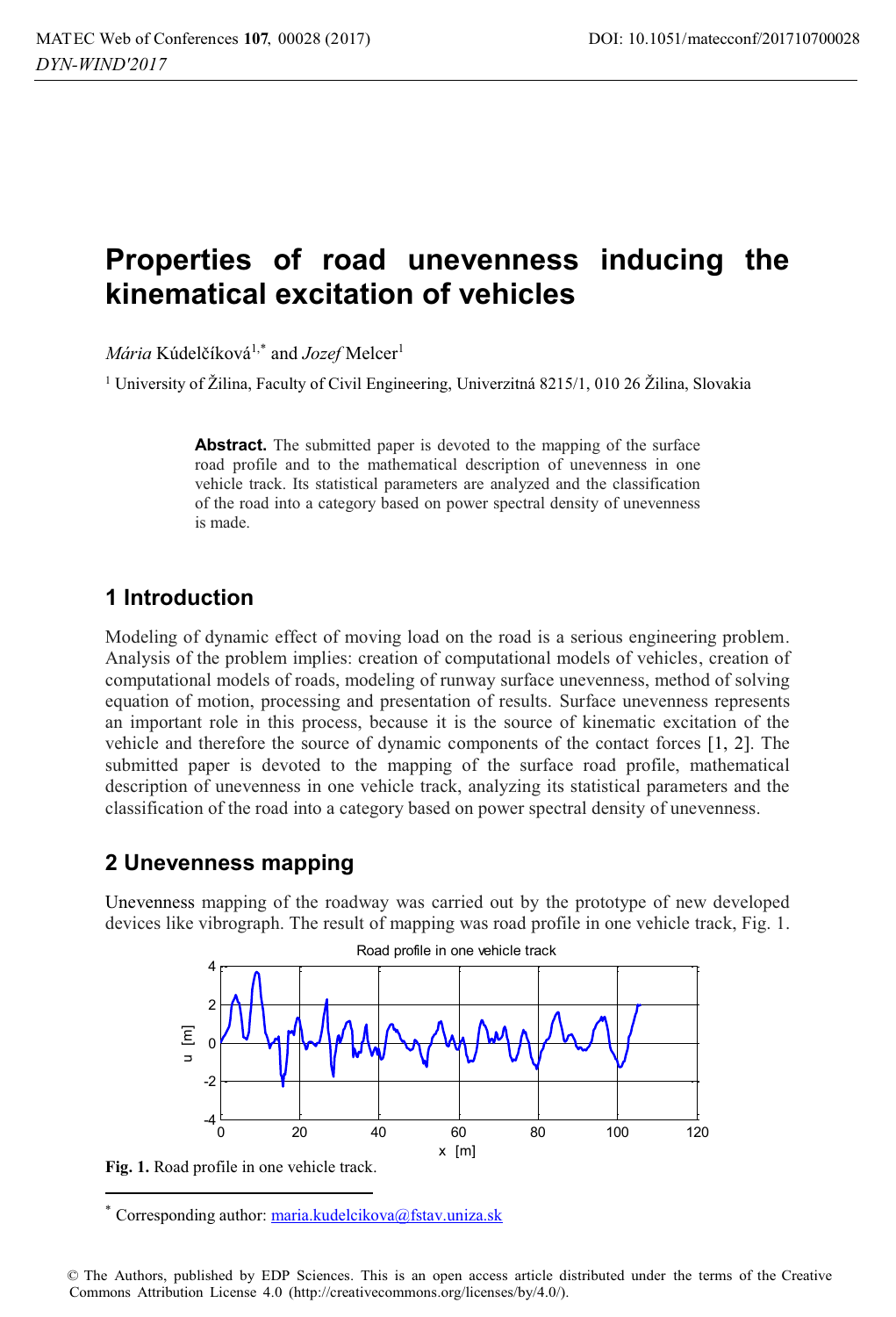# **Properties of road unevenness inducing the kinematical excitation of vehicles**

*Mária* Kúdelčíková<sup>1,\*</sup> and *Jozef* Melcer<sup>1</sup>

<sup>1</sup> University of Žilina, Faculty of Civil Engineering, Univerzitná 8215/1, 010 26 Žilina, Slovakia

**Abstract.** The submitted paper is devoted to the mapping of the surface road profile and to the mathematical description of unevenness in one vehicle track. Its statistical parameters are analyzed and the classification of the road into a category based on power spectral density of unevenness is made.

## **1 Introduction**

Modeling of dynamic effect of moving load on the road is a serious engineering problem. Analysis of the problem implies: creation of computational models of vehicles, creation of computational models of roads, modeling of runway surface unevenness, method of solving equation of motion, processing and presentation of results. Surface unevenness represents an important role in this process, because it is the source of kinematic excitation of the vehicle and therefore the source of dynamic components of the contact forces [1, 2]. The submitted paper is devoted to the mapping of the surface road profile, mathematical description of unevenness in one vehicle track, analyzing its statistical parameters and the classification of the road into a category based on power spectral density of unevenness.

## **2 Unevenness mapping**

Unevenness mapping of the roadway was carried out by the prototype of new developed devices like vibrograph. The result of mapping was road profile in one vehicle track, Fig. 1.





 $\overline{a}$ 

Corresponding author: maria.kudelcikova@fstav.uniza.sk

<sup>©</sup> The Authors, published by EDP Sciences. This is an open access article distributed under the terms of the Creative Commons Attribution License 4.0 (http://creativecommons.org/licenses/by/4.0/).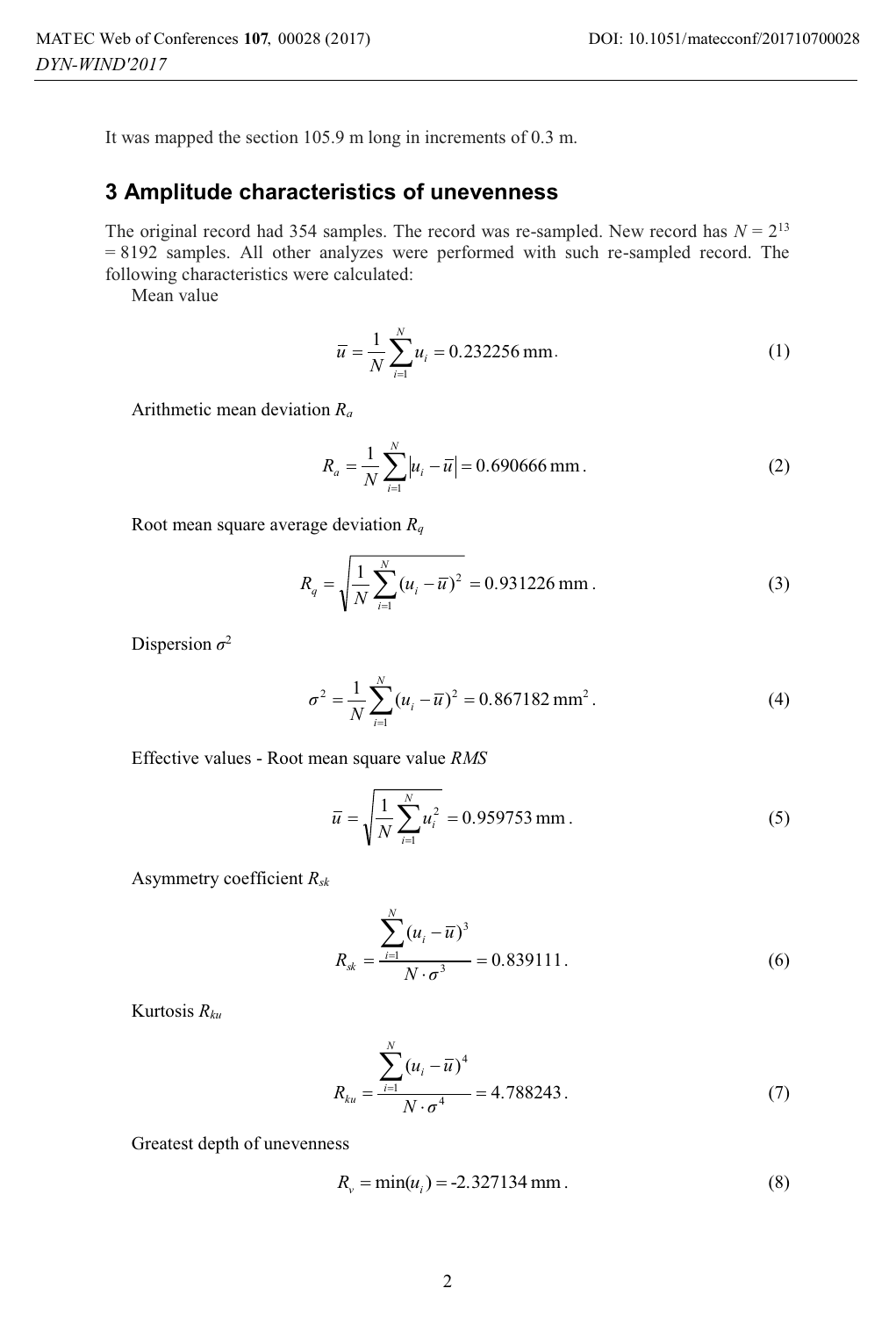It was mapped the section 105.9 m long in increments of 0.3 m.

### **3 Amplitude characteristics of unevenness**

The original record had 354 samples. The record was re-sampled. New record has  $N = 2^{13}$  $= 8192$  samples. All other analyzes were performed with such re-sampled record. The following characteristics were calculated:

Mean value

$$
\overline{u} = \frac{1}{N} \sum_{i=1}^{N} u_i = 0.232256 \text{ mm}.
$$
 (1)

Arithmetic mean deviation *Ra*

$$
R_a = \frac{1}{N} \sum_{i=1}^{N} |u_i - \overline{u}| = 0.690666 \text{ mm}.
$$
 (2)

Root mean square average deviation *Rq*

$$
R_q = \sqrt{\frac{1}{N} \sum_{i=1}^{N} (u_i - \overline{u})^2} = 0.931226 \text{ mm}.
$$
 (3)

Dispersion  $\sigma^2$ 

$$
\sigma^2 = \frac{1}{N} \sum_{i=1}^{N} (u_i - \overline{u})^2 = 0.867182 \text{ mm}^2. \tag{4}
$$

Effective values - Root mean square value *RMS* 

$$
\overline{u} = \sqrt{\frac{1}{N} \sum_{i=1}^{N} u_i^2} = 0.959753 \text{ mm}.
$$
 (5)

Asymmetry coefficient *Rsk*

$$
R_{sk} = \frac{\sum_{i=1}^{N} (u_i - \bar{u})^3}{N \cdot \sigma^3} = 0.839111.
$$
 (6)

Kurtosis *Rku*

$$
R_{ku} = \frac{\sum_{i=1}^{N} (u_i - \overline{u})^4}{N \cdot \sigma^4} = 4.788243.
$$
 (7)

Greatest depth of unevenness

$$
R_v = \min(u_i) = -2.327134 \text{ mm} \,. \tag{8}
$$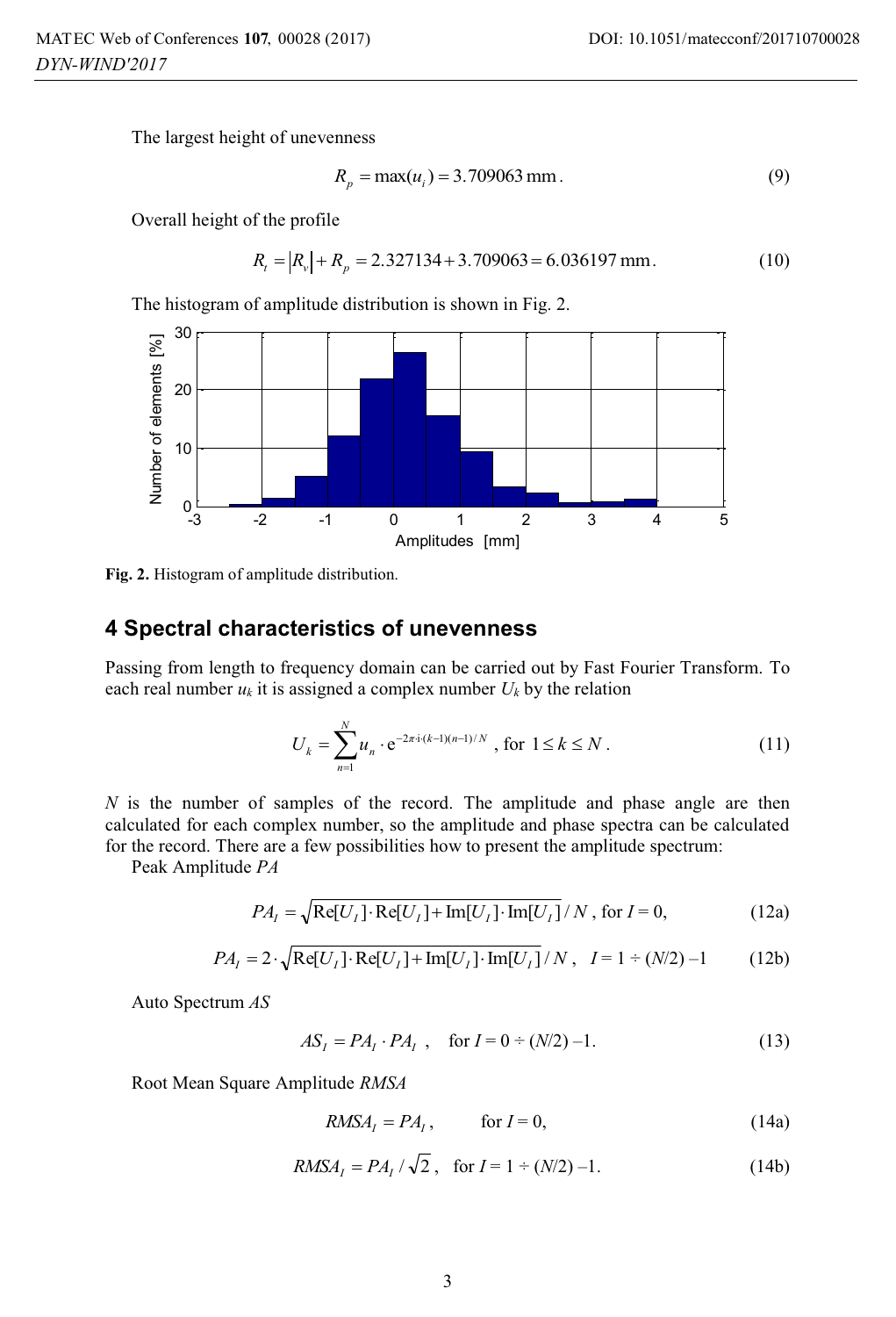The largest height of unevenness

$$
R_p = \max(u_i) = 3.709063 \,\text{mm} \,. \tag{9}
$$

Overall height of the profile

$$
R_t = |R_v| + R_p = 2.327134 + 3.709063 = 6.036197 \text{ mm}.
$$
 (10)

The histogram of amplitude distribution is shown in Fig. 2.



**Fig. 2.** Histogram of amplitude distribution.

#### **4 Spectral characteristics of unevenness**

Passing from length to frequency domain can be carried out by Fast Fourier Transform. To each real number  $u_k$  it is assigned a complex number  $U_k$  by the relation

$$
U_k = \sum_{n=1}^{N} u_n \cdot e^{-2\pi i (k-1)(n-1)/N}, \text{ for } 1 \le k \le N. \tag{11}
$$

*N* is the number of samples of the record. The amplitude and phase angle are then calculated for each complex number, so the amplitude and phase spectra can be calculated for the record. There are a few possibilities how to present the amplitude spectrum:

Peak Amplitude *PA*

$$
PA_{I} = \sqrt{\text{Re}[U_{I}] \cdot \text{Re}[U_{I}] + \text{Im}[U_{I}] \cdot \text{Im}[U_{I}]} / N, \text{ for } I = 0,
$$
 (12a)

$$
PA_{I} = 2 \cdot \sqrt{\text{Re}[U_{I}] \cdot \text{Re}[U_{I}] + \text{Im}[U_{I}] \cdot \text{Im}[U_{I}]} / N, \quad I = 1 \div (N/2) - 1
$$
 (12b)

Auto Spectrum *AS*

$$
ASI = PAI · PAI , for I = 0 ÷ (N/2) -1.
$$
 (13)

Root Mean Square Amplitude *RMSA*

$$
RMSAI = PAI, \tfor I = 0,
$$
\t(14a)

$$
RMSA_I = PA_I / \sqrt{2}, \text{ for } I = 1 \div (N/2) - 1. \tag{14b}
$$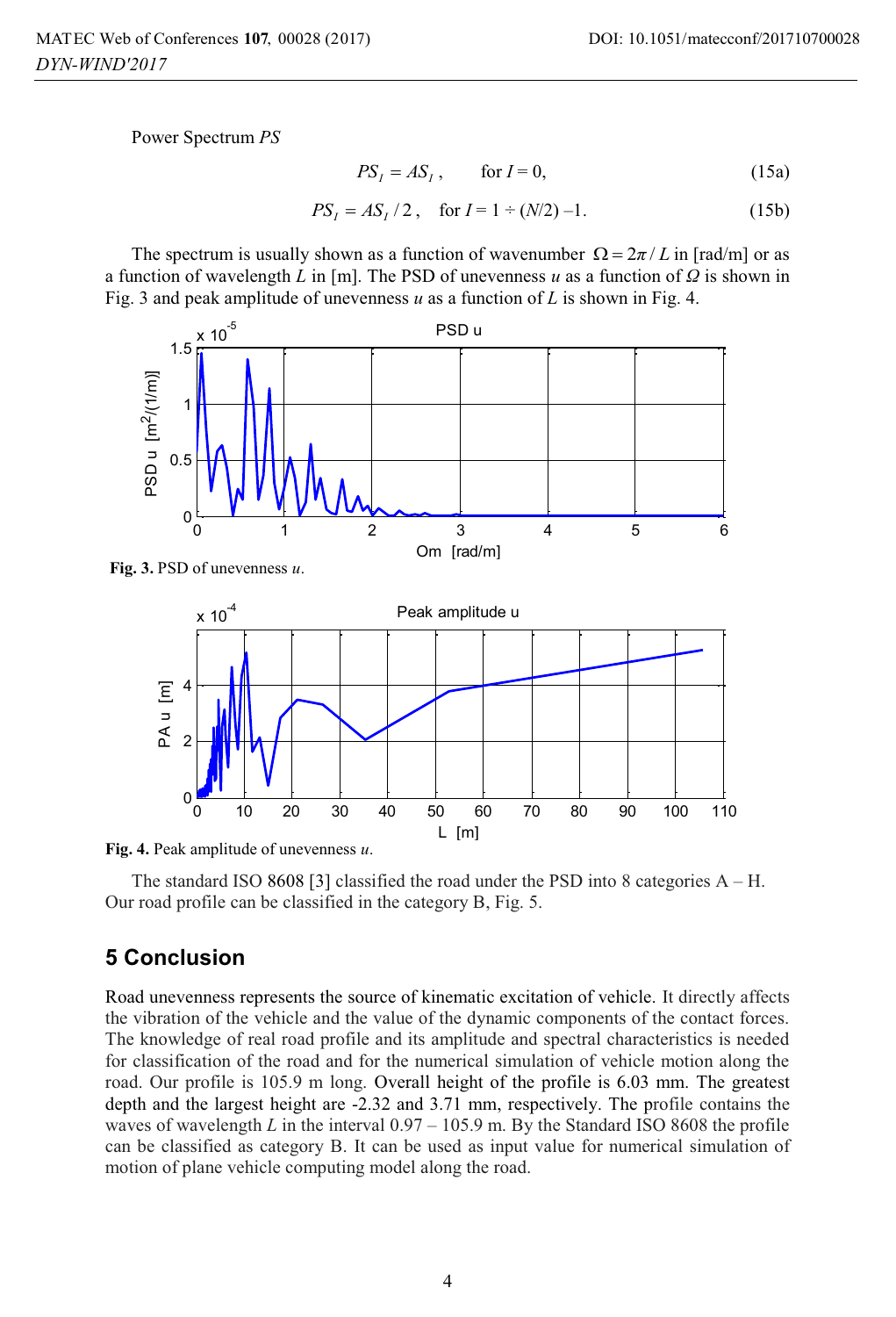Power Spectrum *PS*

$$
PS_I = AS_I, \qquad \text{for } I = 0,
$$
 (15a)

$$
PS_I = AS_I / 2 \,, \quad \text{for } I = 1 \div (N/2) - 1. \tag{15b}
$$

The spectrum is usually shown as a function of wavenumber  $\Omega = 2\pi / L$  in [rad/m] or as a function of wavelength *L* in [m]. The PSD of unevenness *u* as a function of *Ω* is shown in Fig. 3 and peak amplitude of unevenness *u* as a function of *L* is shown in Fig. 4.



**Fig. 3.** PSD of unevenness *u*.



**Fig. 4.** Peak amplitude of unevenness *u*.

The standard ISO 8608 [3] classified the road under the PSD into 8 categories  $A - H$ . Our road profile can be classified in the category B, Fig. 5.

## **5 Conclusion**

Road unevenness represents the source of kinematic excitation of vehicle. It directly affects the vibration of the vehicle and the value of the dynamic components of the contact forces. The knowledge of real road profile and its amplitude and spectral characteristics is needed for classification of the road and for the numerical simulation of vehicle motion along the road. Our profile is 105.9 m long. Overall height of the profile is 6.03 mm. The greatest depth and the largest height are -2.32 and 3.71 mm, respectively. The profile contains the waves of wavelength *L* in the interval 0.97 – 105.9 m. By the Standard ISO 8608 the profile can be classified as category B. It can be used as input value for numerical simulation of motion of plane vehicle computing model along the road.